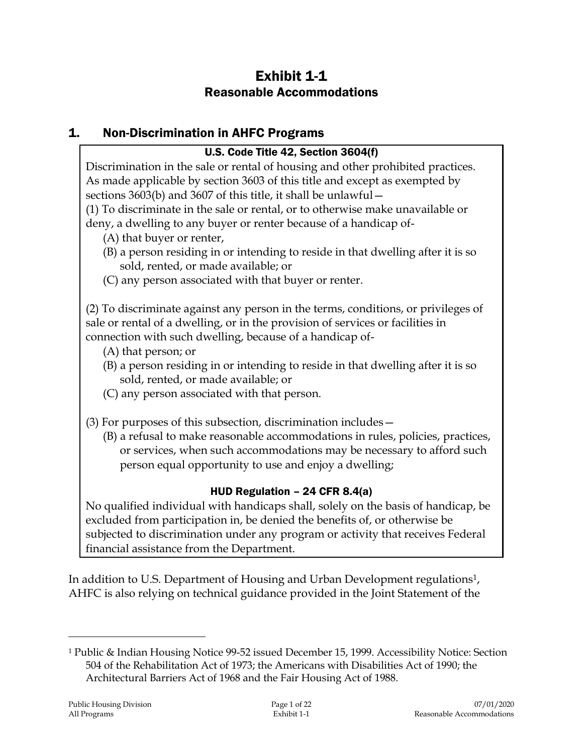# Exhibit 1-1 Reasonable Accommodations

# 1. Non-Discrimination in AHFC Programs

### U.S. Code Title 42, Section 3604(f)

Discrimination in the sale or rental of housing and other prohibited practices. As made applicable by section 3603 of this title and except as exempted by sections 3603(b) and 3607 of this title, it shall be unlawful—

(1) To discriminate in the sale or rental, or to otherwise make unavailable or deny, a dwelling to any buyer or renter because of a handicap of-

- (A) that buyer or renter,
- (B) a person residing in or intending to reside in that dwelling after it is so sold, rented, or made available; or
- (C) any person associated with that buyer or renter.

(2) To discriminate against any person in the terms, conditions, or privileges of sale or rental of a dwelling, or in the provision of services or facilities in connection with such dwelling, because of a handicap of-

- (A) that person; or
- (B) a person residing in or intending to reside in that dwelling after it is so sold, rented, or made available; or
- (C) any person associated with that person.
- (3) For purposes of this subsection, discrimination includes—
	- (B) a refusal to make reasonable accommodations in rules, policies, practices, or services, when such accommodations may be necessary to afford such person equal opportunity to use and enjoy a dwelling;

## HUD Regulation – 24 CFR 8.4(a)

No qualified individual with handicaps shall, solely on the basis of handicap, be excluded from participation in, be denied the benefits of, or otherwise be subjected to discrimination under any program or activity that receives Federal financial assistance from the Department.

In addition to U.S. Department of Housing and Urban Development regulations<sup>1</sup>, AHFC is also relying on technical guidance provided in the Joint Statement of the

<sup>1</sup> Public & Indian Housing Notice 99-52 issued December 15, 1999. Accessibility Notice: Section 504 of the Rehabilitation Act of 1973; the Americans with Disabilities Act of 1990; the Architectural Barriers Act of 1968 and the Fair Housing Act of 1988.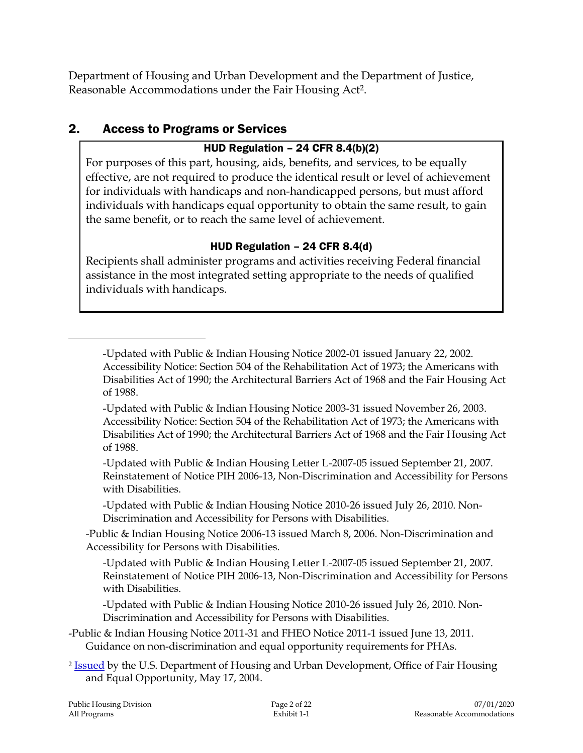Department of Housing and Urban Development and the Department of Justice, Reasonable Accommodations under the Fair Housing Act2.

# 2. Access to Programs or Services

## HUD Regulation – 24 CFR 8.4(b)(2)

For purposes of this part, housing, aids, benefits, and services, to be equally effective, are not required to produce the identical result or level of achievement for individuals with handicaps and non-handicapped persons, but must afford individuals with handicaps equal opportunity to obtain the same result, to gain the same benefit, or to reach the same level of achievement.

## HUD Regulation – 24 CFR 8.4(d)

Recipients shall administer programs and activities receiving Federal financial assistance in the most integrated setting appropriate to the needs of qualified individuals with handicaps.

-Updated with Public & Indian Housing Notice 2002-01 issued January 22, 2002. Accessibility Notice: Section 504 of the Rehabilitation Act of 1973; the Americans with Disabilities Act of 1990; the Architectural Barriers Act of 1968 and the Fair Housing Act of 1988.

-Updated with Public & Indian Housing Notice 2003-31 issued November 26, 2003. Accessibility Notice: Section 504 of the Rehabilitation Act of 1973; the Americans with Disabilities Act of 1990; the Architectural Barriers Act of 1968 and the Fair Housing Act of 1988.

-Updated with Public & Indian Housing Letter L-2007-05 issued September 21, 2007. Reinstatement of Notice PIH 2006-13, Non-Discrimination and Accessibility for Persons with Disabilities.

-Updated with Public & Indian Housing Notice 2010-26 issued July 26, 2010. Non-Discrimination and Accessibility for Persons with Disabilities.

-Public & Indian Housing Notice 2006-13 issued March 8, 2006. Non-Discrimination and Accessibility for Persons with Disabilities.

-Updated with Public & Indian Housing Letter L-2007-05 issued September 21, 2007. Reinstatement of Notice PIH 2006-13, Non-Discrimination and Accessibility for Persons with Disabilities.

-Updated with Public & Indian Housing Notice 2010-26 issued July 26, 2010. Non-Discrimination and Accessibility for Persons with Disabilities.

-Public & Indian Housing Notice 2011-31 and FHEO Notice 2011-1 issued June 13, 2011. Guidance on non-discrimination and equal opportunity requirements for PHAs.

<sup>2</sup> Issued by the U.S. Department of Housing and Urban Development, Office of Fair Housing and Equal Opportunity, May 17, 2004.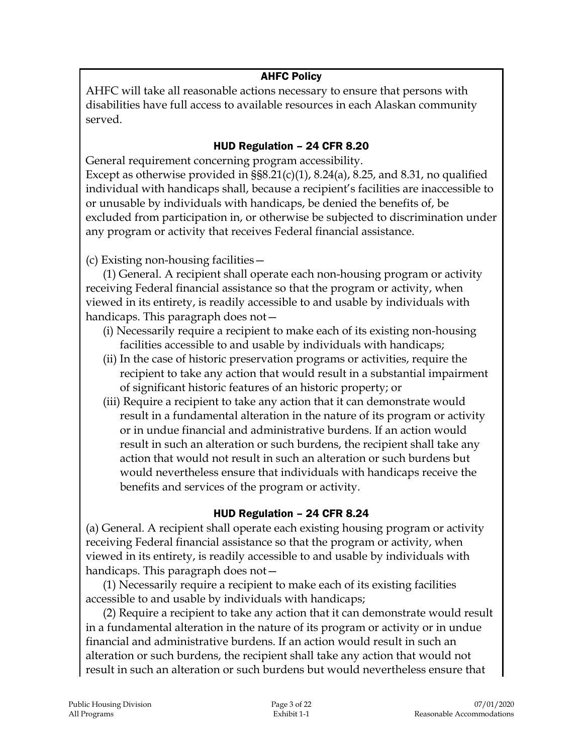### AHFC Policy

AHFC will take all reasonable actions necessary to ensure that persons with disabilities have full access to available resources in each Alaskan community served.

### HUD Regulation – 24 CFR 8.20

General requirement concerning program accessibility. Except as otherwise provided in  $\S$ §8.21(c)(1), 8.24(a), 8.25, and 8.31, no qualified individual with handicaps shall, because a recipient's facilities are inaccessible to

or unusable by individuals with handicaps, be denied the benefits of, be excluded from participation in, or otherwise be subjected to discrimination under any program or activity that receives Federal financial assistance.

(c) Existing non-housing facilities—

(1) General. A recipient shall operate each non-housing program or activity receiving Federal financial assistance so that the program or activity, when viewed in its entirety, is readily accessible to and usable by individuals with handicaps. This paragraph does not—

- (i) Necessarily require a recipient to make each of its existing non-housing facilities accessible to and usable by individuals with handicaps;
- (ii) In the case of historic preservation programs or activities, require the recipient to take any action that would result in a substantial impairment of significant historic features of an historic property; or
- (iii) Require a recipient to take any action that it can demonstrate would result in a fundamental alteration in the nature of its program or activity or in undue financial and administrative burdens. If an action would result in such an alteration or such burdens, the recipient shall take any action that would not result in such an alteration or such burdens but would nevertheless ensure that individuals with handicaps receive the benefits and services of the program or activity.

### HUD Regulation – 24 CFR 8.24

(a) General. A recipient shall operate each existing housing program or activity receiving Federal financial assistance so that the program or activity, when viewed in its entirety, is readily accessible to and usable by individuals with handicaps. This paragraph does not—

(1) Necessarily require a recipient to make each of its existing facilities accessible to and usable by individuals with handicaps;

(2) Require a recipient to take any action that it can demonstrate would result in a fundamental alteration in the nature of its program or activity or in undue financial and administrative burdens. If an action would result in such an alteration or such burdens, the recipient shall take any action that would not result in such an alteration or such burdens but would nevertheless ensure that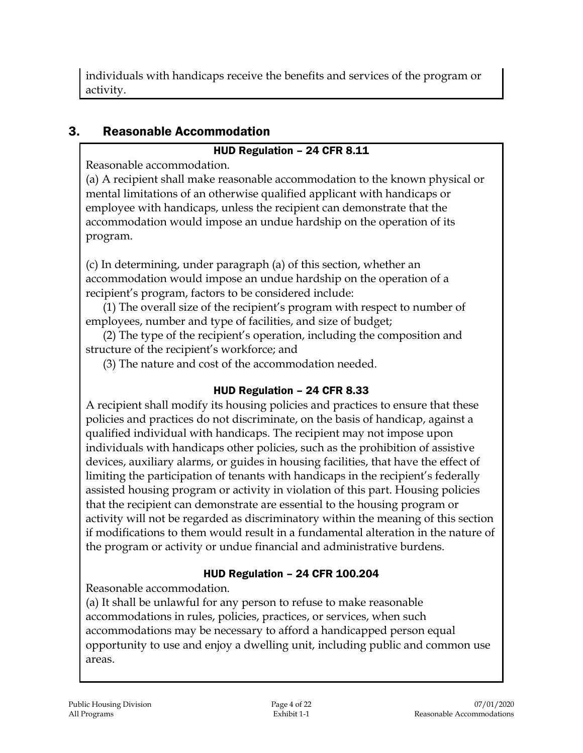individuals with handicaps receive the benefits and services of the program or activity.

# 3. Reasonable Accommodation

## HUD Regulation – 24 CFR 8.11

Reasonable accommodation.

(a) A recipient shall make reasonable accommodation to the known physical or mental limitations of an otherwise qualified applicant with handicaps or employee with handicaps, unless the recipient can demonstrate that the accommodation would impose an undue hardship on the operation of its program.

(c) In determining, under paragraph (a) of this section, whether an accommodation would impose an undue hardship on the operation of a recipient's program, factors to be considered include:

(1) The overall size of the recipient's program with respect to number of employees, number and type of facilities, and size of budget;

(2) The type of the recipient's operation, including the composition and structure of the recipient's workforce; and

(3) The nature and cost of the accommodation needed.

## HUD Regulation – 24 CFR 8.33

A recipient shall modify its housing policies and practices to ensure that these policies and practices do not discriminate, on the basis of handicap, against a qualified individual with handicaps. The recipient may not impose upon individuals with handicaps other policies, such as the prohibition of assistive devices, auxiliary alarms, or guides in housing facilities, that have the effect of limiting the participation of tenants with handicaps in the recipient's federally assisted housing program or activity in violation of this part. Housing policies that the recipient can demonstrate are essential to the housing program or activity will not be regarded as discriminatory within the meaning of this section if modifications to them would result in a fundamental alteration in the nature of the program or activity or undue financial and administrative burdens.

## HUD Regulation – 24 CFR 100.204

Reasonable accommodation.

(a) It shall be unlawful for any person to refuse to make reasonable accommodations in rules, policies, practices, or services, when such accommodations may be necessary to afford a handicapped person equal opportunity to use and enjoy a dwelling unit, including public and common use areas.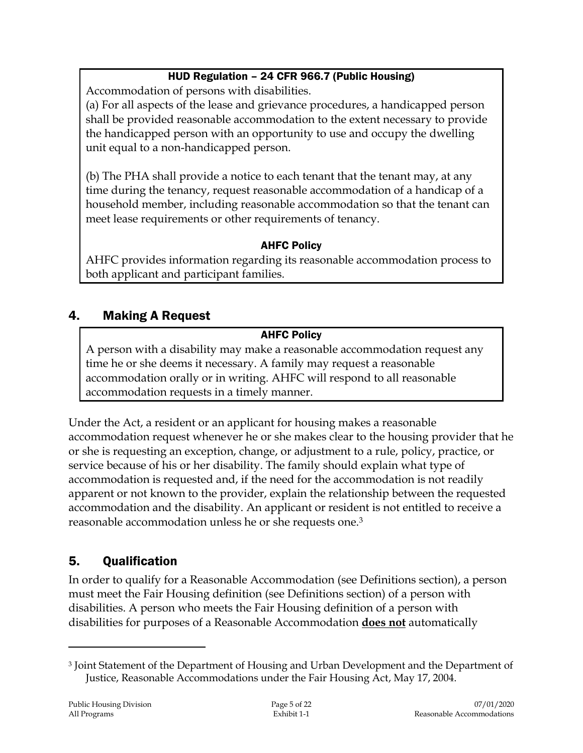## HUD Regulation – 24 CFR 966.7 (Public Housing)

Accommodation of persons with disabilities.

(a) For all aspects of the lease and grievance procedures, a handicapped person shall be provided reasonable accommodation to the extent necessary to provide the handicapped person with an opportunity to use and occupy the dwelling unit equal to a non-handicapped person.

(b) The PHA shall provide a notice to each tenant that the tenant may, at any time during the tenancy, request reasonable accommodation of a handicap of a household member, including reasonable accommodation so that the tenant can meet lease requirements or other requirements of tenancy.

## AHFC Policy

AHFC provides information regarding its reasonable accommodation process to both applicant and participant families.

# 4. Making A Request

### AHFC Policy

A person with a disability may make a reasonable accommodation request any time he or she deems it necessary. A family may request a reasonable accommodation orally or in writing. AHFC will respond to all reasonable accommodation requests in a timely manner.

Under the Act, a resident or an applicant for housing makes a reasonable accommodation request whenever he or she makes clear to the housing provider that he or she is requesting an exception, change, or adjustment to a rule, policy, practice, or service because of his or her disability. The family should explain what type of accommodation is requested and, if the need for the accommodation is not readily apparent or not known to the provider, explain the relationship between the requested accommodation and the disability. An applicant or resident is not entitled to receive a reasonable accommodation unless he or she requests one.<sup>3</sup>

## 5. Qualification

In order to qualify for a Reasonable Accommodation (see Definitions section), a person must meet the Fair Housing definition (see Definitions section) of a person with disabilities. A person who meets the Fair Housing definition of a person with disabilities for purposes of a Reasonable Accommodation **does not** automatically

<sup>3</sup> Joint Statement of the Department of Housing and Urban Development and the Department of Justice, Reasonable Accommodations under the Fair Housing Act, May 17, 2004.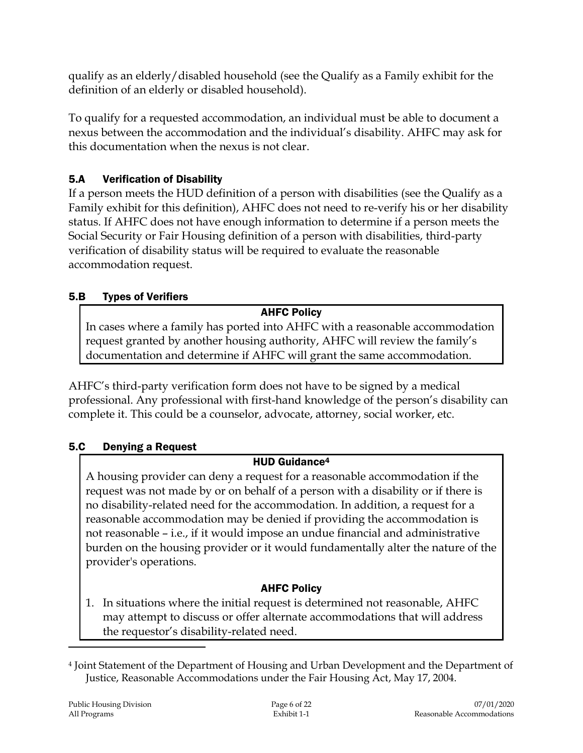qualify as an elderly/disabled household (see the Qualify as a Family exhibit for the definition of an elderly or disabled household).

To qualify for a requested accommodation, an individual must be able to document a nexus between the accommodation and the individual's disability. AHFC may ask for this documentation when the nexus is not clear.

# 5.A Verification of Disability

If a person meets the HUD definition of a person with disabilities (see the Qualify as a Family exhibit for this definition), AHFC does not need to re-verify his or her disability status. If AHFC does not have enough information to determine if a person meets the Social Security or Fair Housing definition of a person with disabilities, third-party verification of disability status will be required to evaluate the reasonable accommodation request.

## 5.B Types of Verifiers

## AHFC Policy

In cases where a family has ported into AHFC with a reasonable accommodation request granted by another housing authority, AHFC will review the family's documentation and determine if AHFC will grant the same accommodation.

AHFC's third-party verification form does not have to be signed by a medical professional. Any professional with first-hand knowledge of the person's disability can complete it. This could be a counselor, advocate, attorney, social worker, etc.

## 5.C Denying a Request

# HUD Guidance<sup>4</sup>

A housing provider can deny a request for a reasonable accommodation if the request was not made by or on behalf of a person with a disability or if there is no disability-related need for the accommodation. In addition, a request for a reasonable accommodation may be denied if providing the accommodation is not reasonable – i.e., if it would impose an undue financial and administrative burden on the housing provider or it would fundamentally alter the nature of the provider's operations.

## AHFC Policy

1. In situations where the initial request is determined not reasonable, AHFC may attempt to discuss or offer alternate accommodations that will address the requestor's disability-related need.

<sup>4</sup> Joint Statement of the Department of Housing and Urban Development and the Department of Justice, Reasonable Accommodations under the Fair Housing Act, May 17, 2004.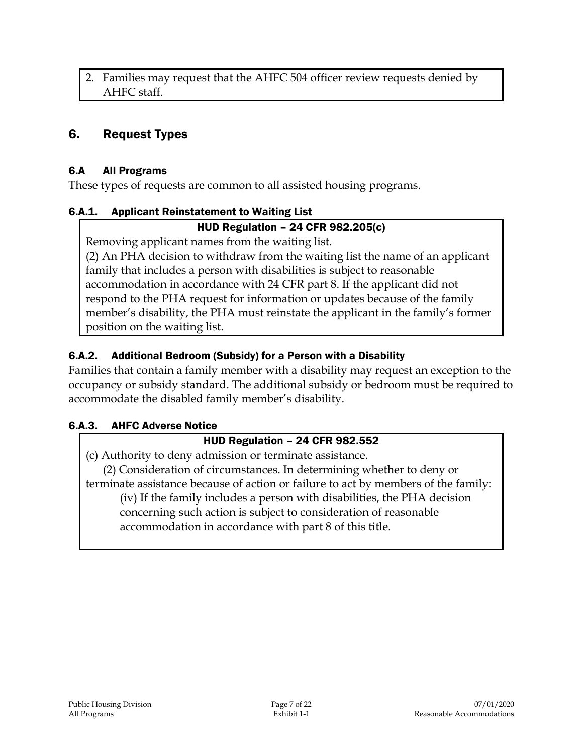2. Families may request that the AHFC 504 officer review requests denied by AHFC staff.

## 6. Request Types

### 6.A All Programs

These types of requests are common to all assisted housing programs.

### 6.A.1. Applicant Reinstatement to Waiting List

### HUD Regulation – 24 CFR 982.205(c)

Removing applicant names from the waiting list.

(2) An PHA decision to withdraw from the waiting list the name of an applicant family that includes a person with disabilities is subject to reasonable accommodation in accordance with 24 CFR part 8. If the applicant did not respond to the PHA request for information or updates because of the family member's disability, the PHA must reinstate the applicant in the family's former position on the waiting list.

### 6.A.2. Additional Bedroom (Subsidy) for a Person with a Disability

Families that contain a family member with a disability may request an exception to the occupancy or subsidy standard. The additional subsidy or bedroom must be required to accommodate the disabled family member's disability.

### 6.A.3. AHFC Adverse Notice

### HUD Regulation – 24 CFR 982.552

(c) Authority to deny admission or terminate assistance.

(2) Consideration of circumstances. In determining whether to deny or terminate assistance because of action or failure to act by members of the family:

(iv) If the family includes a person with disabilities, the PHA decision concerning such action is subject to consideration of reasonable accommodation in accordance with part 8 of this title.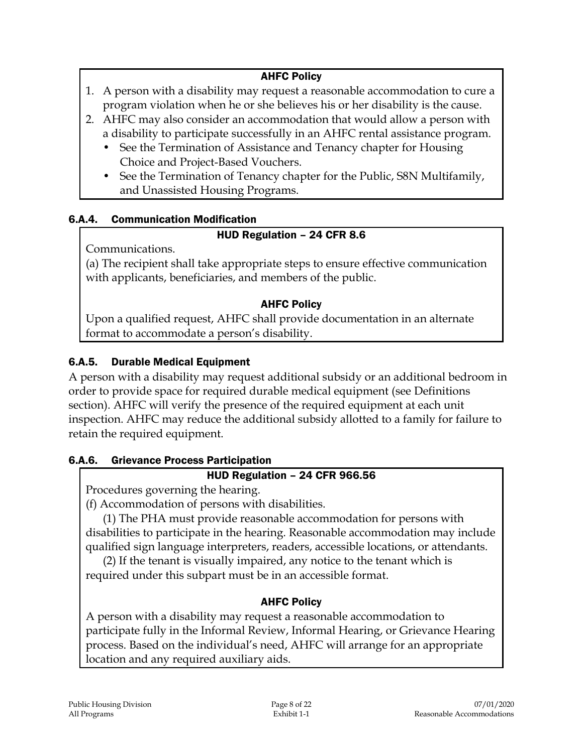### AHFC Policy

- 1. A person with a disability may request a reasonable accommodation to cure a program violation when he or she believes his or her disability is the cause.
- 2. AHFC may also consider an accommodation that would allow a person with a disability to participate successfully in an AHFC rental assistance program.
	- See the Termination of Assistance and Tenancy chapter for Housing Choice and Project-Based Vouchers.
	- See the Termination of Tenancy chapter for the Public, S8N Multifamily, and Unassisted Housing Programs.

## 6.A.4. Communication Modification

### HUD Regulation – 24 CFR 8.6

Communications.

(a) The recipient shall take appropriate steps to ensure effective communication with applicants, beneficiaries, and members of the public.

### AHFC Policy

Upon a qualified request, AHFC shall provide documentation in an alternate format to accommodate a person's disability.

## 6.A.5. Durable Medical Equipment

A person with a disability may request additional subsidy or an additional bedroom in order to provide space for required durable medical equipment (see Definitions section). AHFC will verify the presence of the required equipment at each unit inspection. AHFC may reduce the additional subsidy allotted to a family for failure to retain the required equipment.

## 6.A.6. Grievance Process Participation

## HUD Regulation – 24 CFR 966.56

Procedures governing the hearing.

(f) Accommodation of persons with disabilities.

(1) The PHA must provide reasonable accommodation for persons with disabilities to participate in the hearing. Reasonable accommodation may include qualified sign language interpreters, readers, accessible locations, or attendants.

(2) If the tenant is visually impaired, any notice to the tenant which is required under this subpart must be in an accessible format.

## AHFC Policy

A person with a disability may request a reasonable accommodation to participate fully in the Informal Review, Informal Hearing, or Grievance Hearing process. Based on the individual's need, AHFC will arrange for an appropriate location and any required auxiliary aids.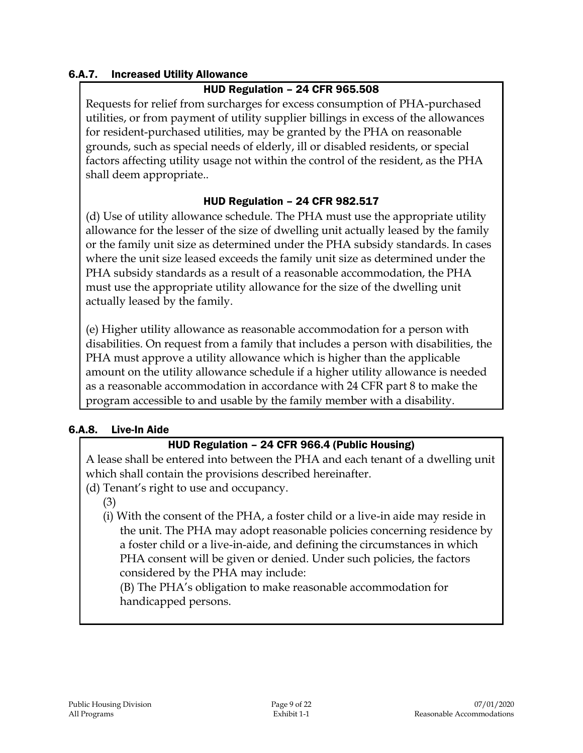### 6.A.7. Increased Utility Allowance

### HUD Regulation – 24 CFR 965.508

Requests for relief from surcharges for excess consumption of PHA-purchased utilities, or from payment of utility supplier billings in excess of the allowances for resident-purchased utilities, may be granted by the PHA on reasonable grounds, such as special needs of elderly, ill or disabled residents, or special factors affecting utility usage not within the control of the resident, as the PHA shall deem appropriate..

### HUD Regulation – 24 CFR 982.517

(d) Use of utility allowance schedule. The PHA must use the appropriate utility allowance for the lesser of the size of dwelling unit actually leased by the family or the family unit size as determined under the PHA subsidy standards. In cases where the unit size leased exceeds the family unit size as determined under the PHA subsidy standards as a result of a reasonable accommodation, the PHA must use the appropriate utility allowance for the size of the dwelling unit actually leased by the family.

(e) Higher utility allowance as reasonable accommodation for a person with disabilities. On request from a family that includes a person with disabilities, the PHA must approve a utility allowance which is higher than the applicable amount on the utility allowance schedule if a higher utility allowance is needed as a reasonable accommodation in accordance with 24 CFR part 8 to make the program accessible to and usable by the family member with a disability.

#### 6.A.8. Live-In Aide

### HUD Regulation – 24 CFR 966.4 (Public Housing)

A lease shall be entered into between the PHA and each tenant of a dwelling unit which shall contain the provisions described hereinafter.

- (d) Tenant's right to use and occupancy.
	- (3)
	- (i) With the consent of the PHA, a foster child or a live-in aide may reside in the unit. The PHA may adopt reasonable policies concerning residence by a foster child or a live-in-aide, and defining the circumstances in which PHA consent will be given or denied. Under such policies, the factors considered by the PHA may include:

(B) The PHA's obligation to make reasonable accommodation for handicapped persons.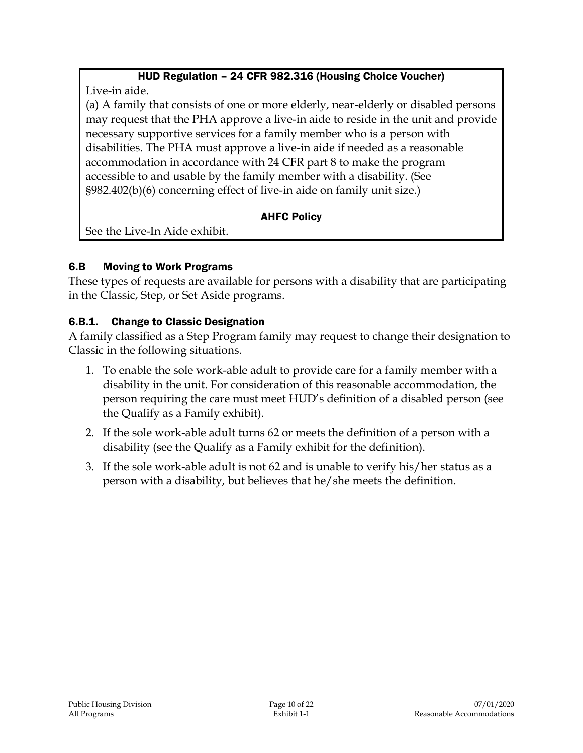## HUD Regulation – 24 CFR 982.316 (Housing Choice Voucher)

Live-in aide.

(a) A family that consists of one or more elderly, near-elderly or disabled persons may request that the PHA approve a live-in aide to reside in the unit and provide necessary supportive services for a family member who is a person with disabilities. The PHA must approve a live-in aide if needed as a reasonable accommodation in accordance with 24 CFR part 8 to make the program accessible to and usable by the family member with a disability. (See §982.402(b)(6) concerning effect of live-in aide on family unit size.)

## AHFC Policy

See the Live-In Aide exhibit.

## 6.B Moving to Work Programs

These types of requests are available for persons with a disability that are participating in the Classic, Step, or Set Aside programs.

## 6.B.1. Change to Classic Designation

A family classified as a Step Program family may request to change their designation to Classic in the following situations.

- 1. To enable the sole work-able adult to provide care for a family member with a disability in the unit. For consideration of this reasonable accommodation, the person requiring the care must meet HUD's definition of a disabled person (see the Qualify as a Family exhibit).
- 2. If the sole work-able adult turns 62 or meets the definition of a person with a disability (see the Qualify as a Family exhibit for the definition).
- 3. If the sole work-able adult is not 62 and is unable to verify his/her status as a person with a disability, but believes that he/she meets the definition.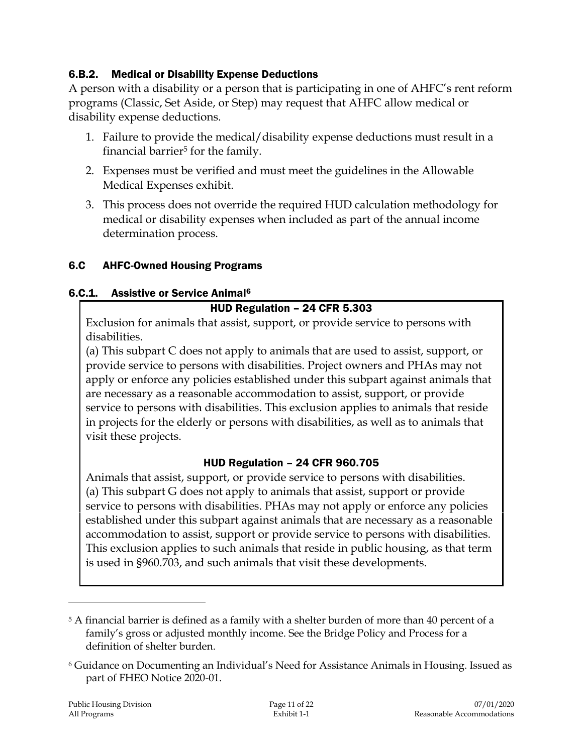### 6.B.2. Medical or Disability Expense Deductions

A person with a disability or a person that is participating in one of AHFC's rent reform programs (Classic, Set Aside, or Step) may request that AHFC allow medical or disability expense deductions.

- 1. Failure to provide the medical/disability expense deductions must result in a financial barrier $5$  for the family.
- 2. Expenses must be verified and must meet the guidelines in the Allowable Medical Expenses exhibit.
- 3. This process does not override the required HUD calculation methodology for medical or disability expenses when included as part of the annual income determination process.

### 6.C AHFC-Owned Housing Programs

### 6.C.1. Assistive or Service Animal<sup>6</sup>

### HUD Regulation – 24 CFR 5.303

Exclusion for animals that assist, support, or provide service to persons with disabilities.

(a) This subpart C does not apply to animals that are used to assist, support, or provide service to persons with disabilities. Project owners and PHAs may not apply or enforce any policies established under this subpart against animals that are necessary as a reasonable accommodation to assist, support, or provide service to persons with disabilities. This exclusion applies to animals that reside in projects for the elderly or persons with disabilities, as well as to animals that visit these projects.

### HUD Regulation – 24 CFR 960.705

Animals that assist, support, or provide service to persons with disabilities. (a) This subpart G does not apply to animals that assist, support or provide service to persons with disabilities. PHAs may not apply or enforce any policies established under this subpart against animals that are necessary as a reasonable accommodation to assist, support or provide service to persons with disabilities. This exclusion applies to such animals that reside in public housing, as that term is used in §960.703, and such animals that visit these developments.

<sup>&</sup>lt;sup>5</sup> A financial barrier is defined as a family with a shelter burden of more than 40 percent of a family's gross or adjusted monthly income. See the Bridge Policy and Process for a definition of shelter burden.

<sup>6</sup> Guidance on Documenting an Individual's Need for Assistance Animals in Housing. Issued as part of FHEO Notice 2020-01.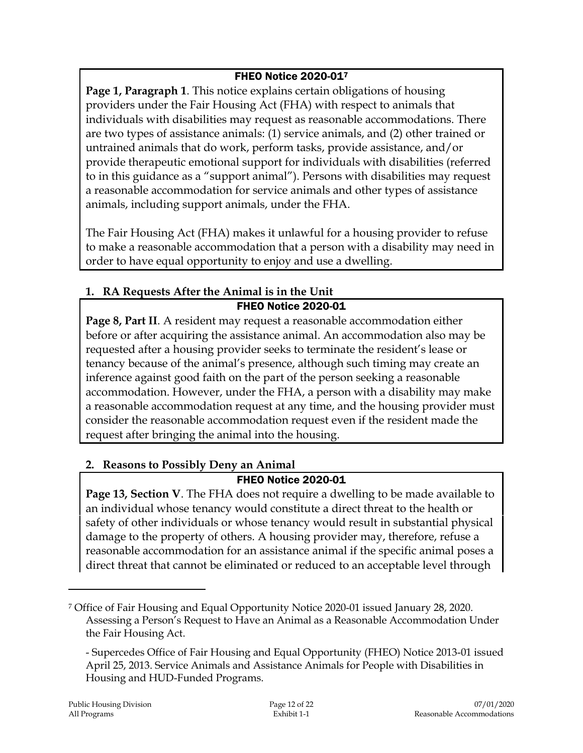### FHEO Notice 2020-01<sup>7</sup>

**Page 1, Paragraph 1**. This notice explains certain obligations of housing providers under the Fair Housing Act (FHA) with respect to animals that individuals with disabilities may request as reasonable accommodations. There are two types of assistance animals: (1) service animals, and (2) other trained or untrained animals that do work, perform tasks, provide assistance, and/or provide therapeutic emotional support for individuals with disabilities (referred to in this guidance as a "support animal"). Persons with disabilities may request a reasonable accommodation for service animals and other types of assistance animals, including support animals, under the FHA.

The Fair Housing Act (FHA) makes it unlawful for a housing provider to refuse to make a reasonable accommodation that a person with a disability may need in order to have equal opportunity to enjoy and use a dwelling.

### **1. RA Requests After the Animal is in the Unit** FHEO Notice 2020-01

**Page 8, Part II**. A resident may request a reasonable accommodation either before or after acquiring the assistance animal. An accommodation also may be requested after a housing provider seeks to terminate the resident's lease or tenancy because of the animal's presence, although such timing may create an inference against good faith on the part of the person seeking a reasonable accommodation. However, under the FHA, a person with a disability may make a reasonable accommodation request at any time, and the housing provider must consider the reasonable accommodation request even if the resident made the request after bringing the animal into the housing.

## **2. Reasons to Possibly Deny an Animal**

## FHEO Notice 2020-01

**Page 13, Section V**. The FHA does not require a dwelling to be made available to an individual whose tenancy would constitute a direct threat to the health or safety of other individuals or whose tenancy would result in substantial physical damage to the property of others. A housing provider may, therefore, refuse a reasonable accommodation for an assistance animal if the specific animal poses a direct threat that cannot be eliminated or reduced to an acceptable level through

<sup>7</sup> Office of Fair Housing and Equal Opportunity Notice 2020-01 issued January 28, 2020. Assessing a Person's Request to Have an Animal as a Reasonable Accommodation Under the Fair Housing Act.

<sup>-</sup> Supercedes Office of Fair Housing and Equal Opportunity (FHEO) Notice 2013-01 issued April 25, 2013. Service Animals and Assistance Animals for People with Disabilities in Housing and HUD-Funded Programs.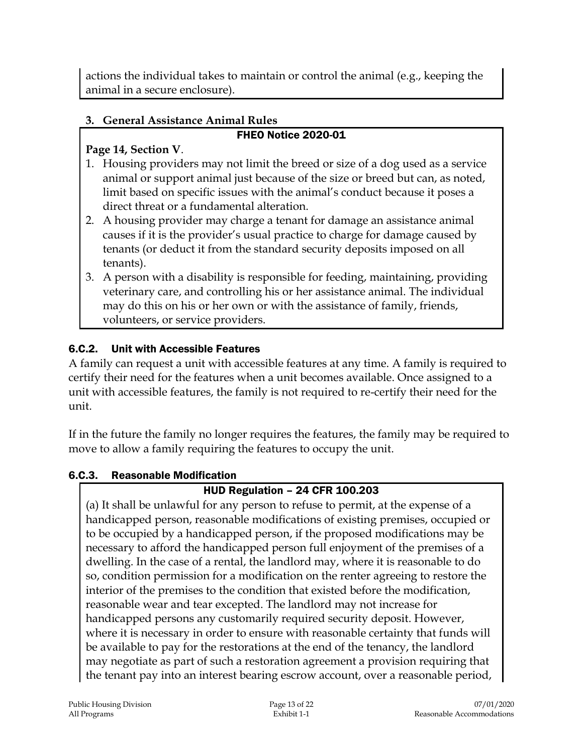actions the individual takes to maintain or control the animal (e.g., keeping the animal in a secure enclosure).

# **3. General Assistance Animal Rules**

## FHEO Notice 2020-01

## **Page 14, Section V**.

- 1. Housing providers may not limit the breed or size of a dog used as a service animal or support animal just because of the size or breed but can, as noted, limit based on specific issues with the animal's conduct because it poses a direct threat or a fundamental alteration.
- 2. A housing provider may charge a tenant for damage an assistance animal causes if it is the provider's usual practice to charge for damage caused by tenants (or deduct it from the standard security deposits imposed on all tenants).
- 3. A person with a disability is responsible for feeding, maintaining, providing veterinary care, and controlling his or her assistance animal. The individual may do this on his or her own or with the assistance of family, friends, volunteers, or service providers.

# 6.C.2. Unit with Accessible Features

A family can request a unit with accessible features at any time. A family is required to certify their need for the features when a unit becomes available. Once assigned to a unit with accessible features, the family is not required to re-certify their need for the unit.

If in the future the family no longer requires the features, the family may be required to move to allow a family requiring the features to occupy the unit.

## 6.C.3. Reasonable Modification

## HUD Regulation – 24 CFR 100.203

(a) It shall be unlawful for any person to refuse to permit, at the expense of a handicapped person, reasonable modifications of existing premises, occupied or to be occupied by a handicapped person, if the proposed modifications may be necessary to afford the handicapped person full enjoyment of the premises of a dwelling. In the case of a rental, the landlord may, where it is reasonable to do so, condition permission for a modification on the renter agreeing to restore the interior of the premises to the condition that existed before the modification, reasonable wear and tear excepted. The landlord may not increase for handicapped persons any customarily required security deposit. However, where it is necessary in order to ensure with reasonable certainty that funds will be available to pay for the restorations at the end of the tenancy, the landlord may negotiate as part of such a restoration agreement a provision requiring that the tenant pay into an interest bearing escrow account, over a reasonable period,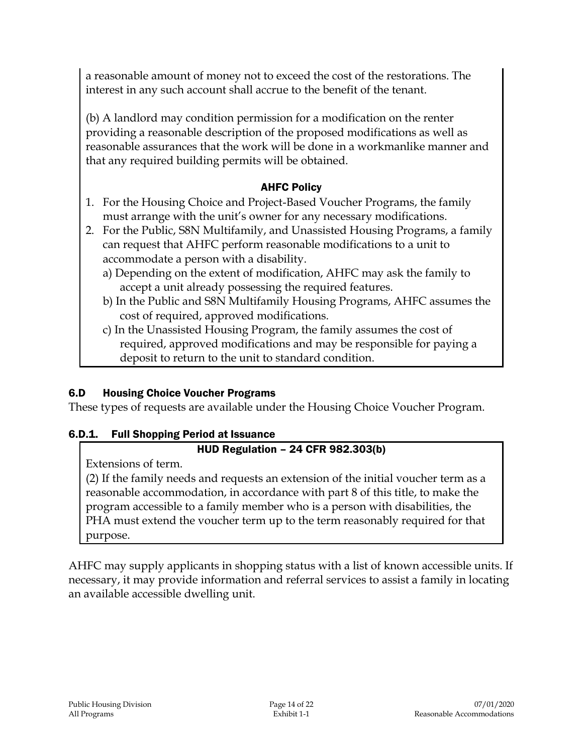a reasonable amount of money not to exceed the cost of the restorations. The interest in any such account shall accrue to the benefit of the tenant.

(b) A landlord may condition permission for a modification on the renter providing a reasonable description of the proposed modifications as well as reasonable assurances that the work will be done in a workmanlike manner and that any required building permits will be obtained.

### AHFC Policy

- 1. For the Housing Choice and Project-Based Voucher Programs, the family must arrange with the unit's owner for any necessary modifications.
- 2. For the Public, S8N Multifamily, and Unassisted Housing Programs, a family can request that AHFC perform reasonable modifications to a unit to accommodate a person with a disability.
	- a) Depending on the extent of modification, AHFC may ask the family to accept a unit already possessing the required features.
	- b) In the Public and S8N Multifamily Housing Programs, AHFC assumes the cost of required, approved modifications.
	- c) In the Unassisted Housing Program, the family assumes the cost of required, approved modifications and may be responsible for paying a deposit to return to the unit to standard condition.

## 6.D Housing Choice Voucher Programs

These types of requests are available under the Housing Choice Voucher Program.

## 6.D.1. Full Shopping Period at Issuance

## HUD Regulation – 24 CFR 982.303(b)

Extensions of term.

(2) If the family needs and requests an extension of the initial voucher term as a reasonable accommodation, in accordance with part 8 of this title, to make the program accessible to a family member who is a person with disabilities, the PHA must extend the voucher term up to the term reasonably required for that purpose.

AHFC may supply applicants in shopping status with a list of known accessible units. If necessary, it may provide information and referral services to assist a family in locating an available accessible dwelling unit.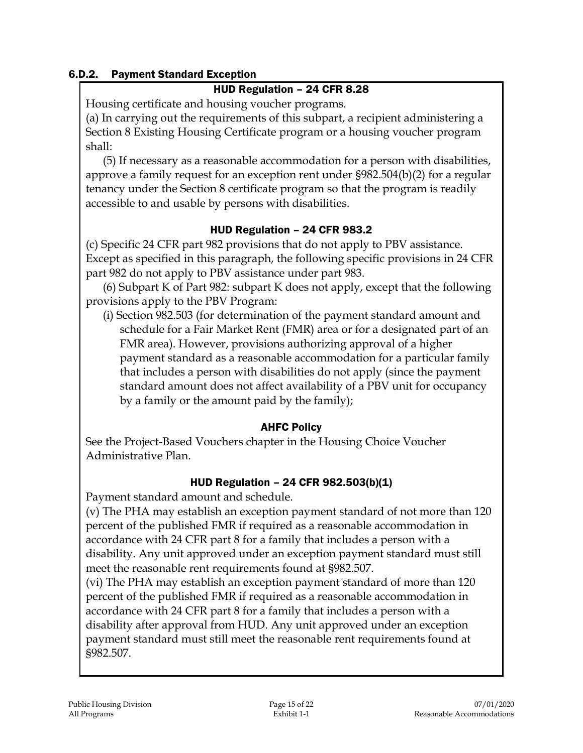### 6.D.2. Payment Standard Exception

### HUD Regulation – 24 CFR 8.28

Housing certificate and housing voucher programs.

(a) In carrying out the requirements of this subpart, a recipient administering a Section 8 Existing Housing Certificate program or a housing voucher program shall:

(5) If necessary as a reasonable accommodation for a person with disabilities, approve a family request for an exception rent under §982.504(b)(2) for a regular tenancy under the Section 8 certificate program so that the program is readily accessible to and usable by persons with disabilities.

### HUD Regulation – 24 CFR 983.2

(c) Specific 24 CFR part 982 provisions that do not apply to PBV assistance. Except as specified in this paragraph, the following specific provisions in 24 CFR part 982 do not apply to PBV assistance under part 983.

(6) Subpart K of Part 982: subpart K does not apply, except that the following provisions apply to the PBV Program:

(i) Section 982.503 (for determination of the payment standard amount and schedule for a Fair Market Rent (FMR) area or for a designated part of an FMR area). However, provisions authorizing approval of a higher payment standard as a reasonable accommodation for a particular family that includes a person with disabilities do not apply (since the payment standard amount does not affect availability of a PBV unit for occupancy by a family or the amount paid by the family);

### AHFC Policy

See the Project-Based Vouchers chapter in the Housing Choice Voucher Administrative Plan.

### HUD Regulation – 24 CFR 982.503(b)(1)

Payment standard amount and schedule.

(v) The PHA may establish an exception payment standard of not more than 120 percent of the published FMR if required as a reasonable accommodation in accordance with 24 CFR part 8 for a family that includes a person with a disability. Any unit approved under an exception payment standard must still meet the reasonable rent requirements found at §982.507.

(vi) The PHA may establish an exception payment standard of more than 120 percent of the published FMR if required as a reasonable accommodation in accordance with 24 CFR part 8 for a family that includes a person with a disability after approval from HUD. Any unit approved under an exception payment standard must still meet the reasonable rent requirements found at §982.507.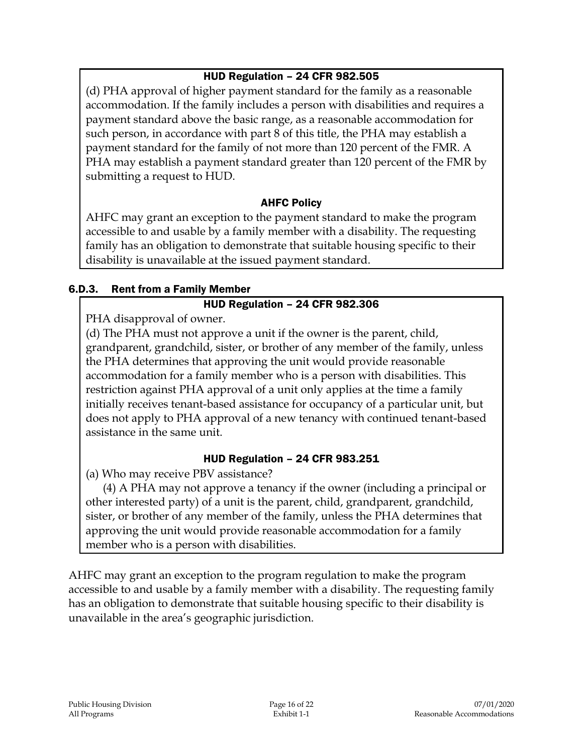## HUD Regulation – 24 CFR 982.505

(d) PHA approval of higher payment standard for the family as a reasonable accommodation. If the family includes a person with disabilities and requires a payment standard above the basic range, as a reasonable accommodation for such person, in accordance with part 8 of this title, the PHA may establish a payment standard for the family of not more than 120 percent of the FMR. A PHA may establish a payment standard greater than 120 percent of the FMR by submitting a request to HUD.

### AHFC Policy

AHFC may grant an exception to the payment standard to make the program accessible to and usable by a family member with a disability. The requesting family has an obligation to demonstrate that suitable housing specific to their disability is unavailable at the issued payment standard.

### 6.D.3. Rent from a Family Member

### HUD Regulation – 24 CFR 982.306

PHA disapproval of owner.

(d) The PHA must not approve a unit if the owner is the parent, child, grandparent, grandchild, sister, or brother of any member of the family, unless the PHA determines that approving the unit would provide reasonable accommodation for a family member who is a person with disabilities. This restriction against PHA approval of a unit only applies at the time a family initially receives tenant-based assistance for occupancy of a particular unit, but does not apply to PHA approval of a new tenancy with continued tenant-based assistance in the same unit.

#### HUD Regulation – 24 CFR 983.251

(a) Who may receive PBV assistance?

(4) A PHA may not approve a tenancy if the owner (including a principal or other interested party) of a unit is the parent, child, grandparent, grandchild, sister, or brother of any member of the family, unless the PHA determines that approving the unit would provide reasonable accommodation for a family member who is a person with disabilities.

AHFC may grant an exception to the program regulation to make the program accessible to and usable by a family member with a disability. The requesting family has an obligation to demonstrate that suitable housing specific to their disability is unavailable in the area's geographic jurisdiction.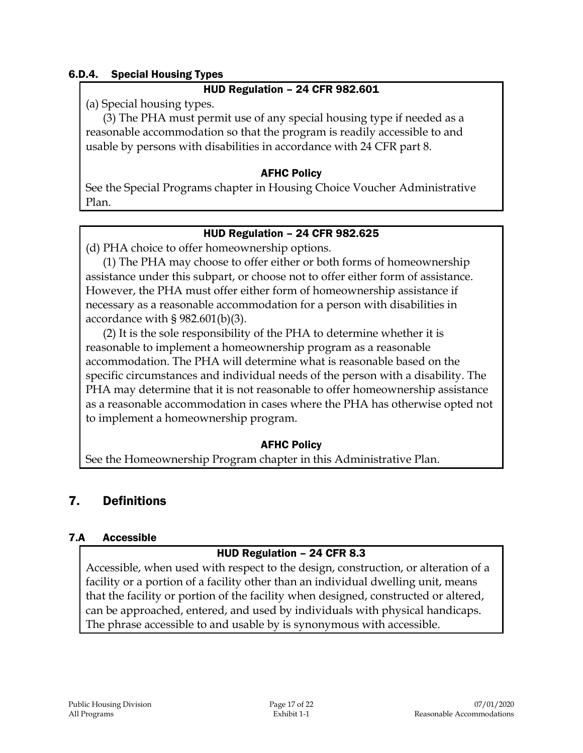### 6.D.4. Special Housing Types

#### HUD Regulation – 24 CFR 982.601

(a) Special housing types.

(3) The PHA must permit use of any special housing type if needed as a reasonable accommodation so that the program is readily accessible to and usable by persons with disabilities in accordance with 24 CFR part 8.

#### AFHC Policy

See the Special Programs chapter in Housing Choice Voucher Administrative Plan.

### HUD Regulation – 24 CFR 982.625

(d) PHA choice to offer homeownership options.

(1) The PHA may choose to offer either or both forms of homeownership assistance under this subpart, or choose not to offer either form of assistance. However, the PHA must offer either form of homeownership assistance if necessary as a reasonable accommodation for a person with disabilities in accordance with § 982.601(b)(3).

(2) It is the sole responsibility of the PHA to determine whether it is reasonable to implement a homeownership program as a reasonable accommodation. The PHA will determine what is reasonable based on the specific circumstances and individual needs of the person with a disability. The PHA may determine that it is not reasonable to offer homeownership assistance as a reasonable accommodation in cases where the PHA has otherwise opted not to implement a homeownership program.

### AFHC Policy

See the Homeownership Program chapter in this Administrative Plan.

## 7. Definitions

#### 7.A Accessible

### HUD Regulation – 24 CFR 8.3

Accessible, when used with respect to the design, construction, or alteration of a facility or a portion of a facility other than an individual dwelling unit, means that the facility or portion of the facility when designed, constructed or altered, can be approached, entered, and used by individuals with physical handicaps. The phrase accessible to and usable by is synonymous with accessible.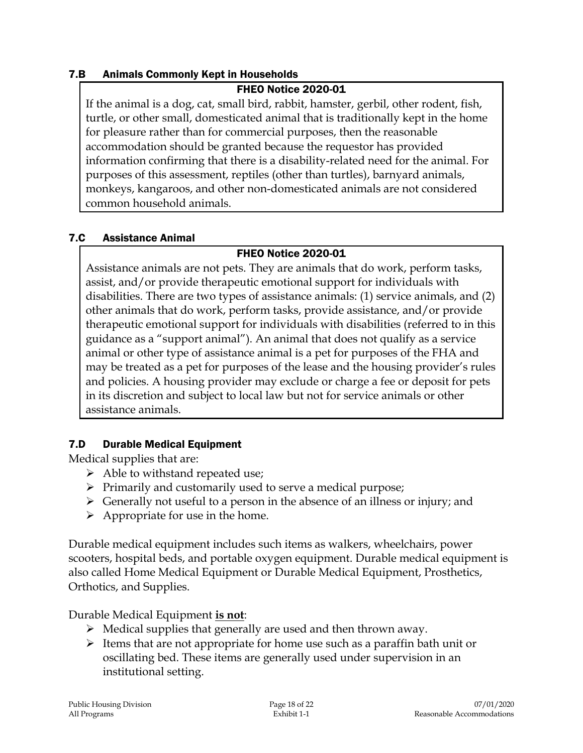### 7.B Animals Commonly Kept in Households

#### FHEO Notice 2020-01

If the animal is a dog, cat, small bird, rabbit, hamster, gerbil, other rodent, fish, turtle, or other small, domesticated animal that is traditionally kept in the home for pleasure rather than for commercial purposes, then the reasonable accommodation should be granted because the requestor has provided information confirming that there is a disability-related need for the animal. For purposes of this assessment, reptiles (other than turtles), barnyard animals, monkeys, kangaroos, and other non-domesticated animals are not considered common household animals.

#### 7.C Assistance Animal

### FHEO Notice 2020-01

Assistance animals are not pets. They are animals that do work, perform tasks, assist, and/or provide therapeutic emotional support for individuals with disabilities. There are two types of assistance animals: (1) service animals, and (2) other animals that do work, perform tasks, provide assistance, and/or provide therapeutic emotional support for individuals with disabilities (referred to in this guidance as a "support animal"). An animal that does not qualify as a service animal or other type of assistance animal is a pet for purposes of the FHA and may be treated as a pet for purposes of the lease and the housing provider's rules and policies. A housing provider may exclude or charge a fee or deposit for pets in its discretion and subject to local law but not for service animals or other assistance animals.

### 7.D Durable Medical Equipment

Medical supplies that are:

- $\triangleright$  Able to withstand repeated use;
- $\triangleright$  Primarily and customarily used to serve a medical purpose;
- $\triangleright$  Generally not useful to a person in the absence of an illness or injury; and
- $\triangleright$  Appropriate for use in the home.

Durable medical equipment includes such items as walkers, wheelchairs, power scooters, hospital beds, and portable oxygen equipment. Durable medical equipment is also called Home Medical Equipment or Durable Medical Equipment, Prosthetics, Orthotics, and Supplies.

### Durable Medical Equipment **is not**:

- $\triangleright$  Medical supplies that generally are used and then thrown away.
- $\triangleright$  Items that are not appropriate for home use such as a paraffin bath unit or oscillating bed. These items are generally used under supervision in an institutional setting.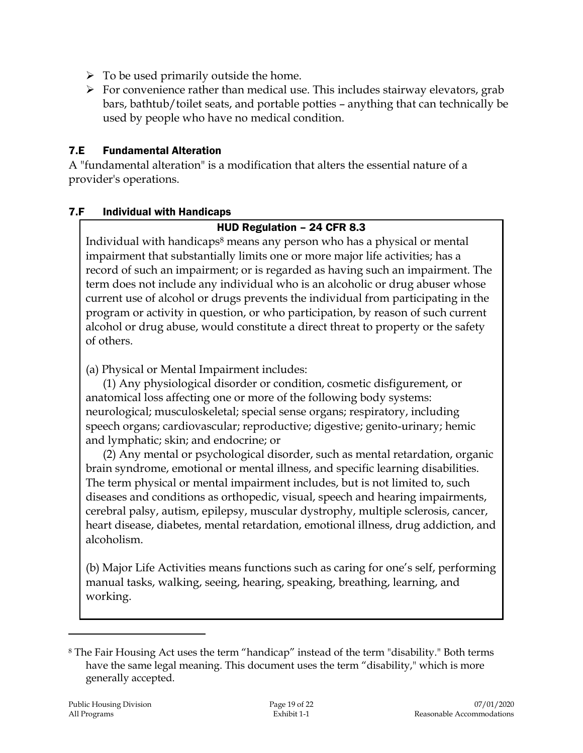- $\triangleright$  To be used primarily outside the home.
- $\triangleright$  For convenience rather than medical use. This includes stairway elevators, grab bars, bathtub/toilet seats, and portable potties – anything that can technically be used by people who have no medical condition.

### 7.E Fundamental Alteration

A "fundamental alteration" is a modification that alters the essential nature of a provider's operations.

### 7.F Individual with Handicaps

### HUD Regulation – 24 CFR 8.3

Individual with handicaps<sup>8</sup> means any person who has a physical or mental impairment that substantially limits one or more major life activities; has a record of such an impairment; or is regarded as having such an impairment. The term does not include any individual who is an alcoholic or drug abuser whose current use of alcohol or drugs prevents the individual from participating in the program or activity in question, or who participation, by reason of such current alcohol or drug abuse, would constitute a direct threat to property or the safety of others.

(a) Physical or Mental Impairment includes:

(1) Any physiological disorder or condition, cosmetic disfigurement, or anatomical loss affecting one or more of the following body systems: neurological; musculoskeletal; special sense organs; respiratory, including speech organs; cardiovascular; reproductive; digestive; genito-urinary; hemic and lymphatic; skin; and endocrine; or

(2) Any mental or psychological disorder, such as mental retardation, organic brain syndrome, emotional or mental illness, and specific learning disabilities. The term physical or mental impairment includes, but is not limited to, such diseases and conditions as orthopedic, visual, speech and hearing impairments, cerebral palsy, autism, epilepsy, muscular dystrophy, multiple sclerosis, cancer, heart disease, diabetes, mental retardation, emotional illness, drug addiction, and alcoholism.

(b) Major Life Activities means functions such as caring for one's self, performing manual tasks, walking, seeing, hearing, speaking, breathing, learning, and working.

<sup>8</sup> The Fair Housing Act uses the term "handicap" instead of the term "disability." Both terms have the same legal meaning. This document uses the term "disability," which is more generally accepted.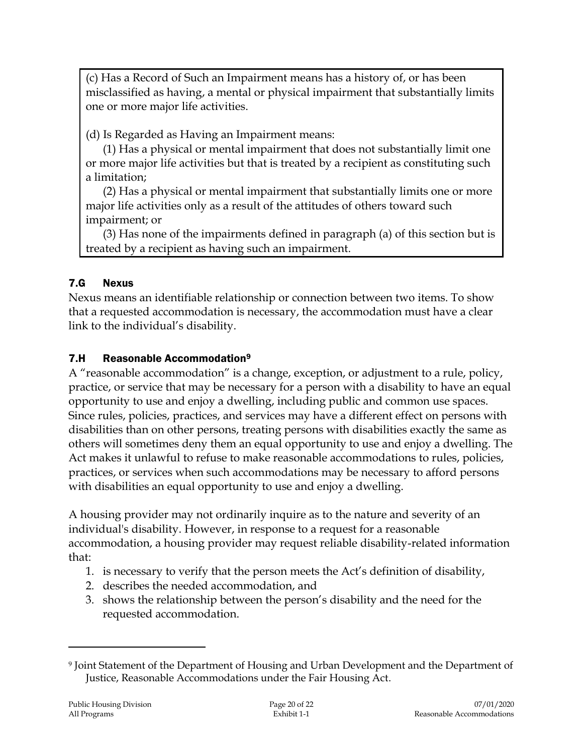(c) Has a Record of Such an Impairment means has a history of, or has been misclassified as having, a mental or physical impairment that substantially limits one or more major life activities.

(d) Is Regarded as Having an Impairment means:

(1) Has a physical or mental impairment that does not substantially limit one or more major life activities but that is treated by a recipient as constituting such a limitation;

(2) Has a physical or mental impairment that substantially limits one or more major life activities only as a result of the attitudes of others toward such impairment; or

(3) Has none of the impairments defined in paragraph (a) of this section but is treated by a recipient as having such an impairment.

## 7.G Nexus

Nexus means an identifiable relationship or connection between two items. To show that a requested accommodation is necessary, the accommodation must have a clear link to the individual's disability.

### 7.H Reasonable Accommodation<sup>9</sup>

A "reasonable accommodation" is a change, exception, or adjustment to a rule, policy, practice, or service that may be necessary for a person with a disability to have an equal opportunity to use and enjoy a dwelling, including public and common use spaces. Since rules, policies, practices, and services may have a different effect on persons with disabilities than on other persons, treating persons with disabilities exactly the same as others will sometimes deny them an equal opportunity to use and enjoy a dwelling. The Act makes it unlawful to refuse to make reasonable accommodations to rules, policies, practices, or services when such accommodations may be necessary to afford persons with disabilities an equal opportunity to use and enjoy a dwelling.

A housing provider may not ordinarily inquire as to the nature and severity of an individual's disability. However, in response to a request for a reasonable accommodation, a housing provider may request reliable disability-related information that:

- 1. is necessary to verify that the person meets the Act's definition of disability,
- 2. describes the needed accommodation, and
- 3. shows the relationship between the person's disability and the need for the requested accommodation.

<sup>9</sup> Joint Statement of the Department of Housing and Urban Development and the Department of Justice, Reasonable Accommodations under the Fair Housing Act.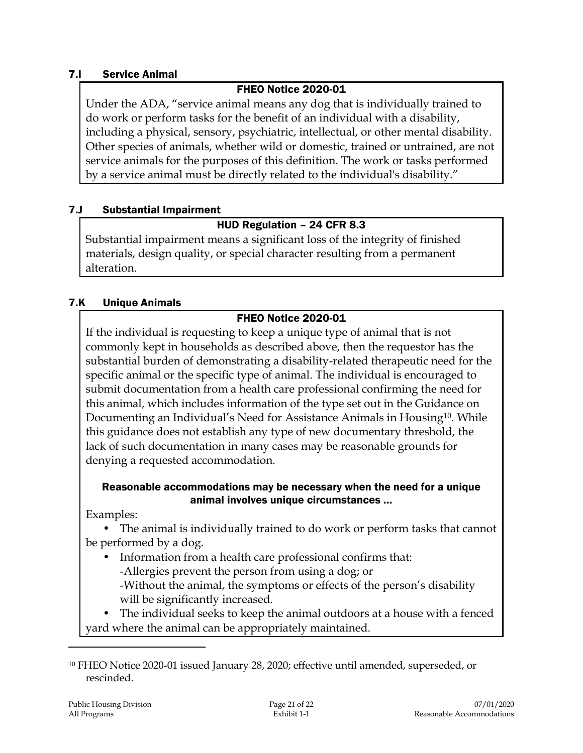### 7.I Service Animal

### FHEO Notice 2020-01

Under the ADA, "service animal means any dog that is individually trained to do work or perform tasks for the benefit of an individual with a disability, including a physical, sensory, psychiatric, intellectual, or other mental disability. Other species of animals, whether wild or domestic, trained or untrained, are not service animals for the purposes of this definition. The work or tasks performed by a service animal must be directly related to the individual's disability."

### 7.J Substantial Impairment

### HUD Regulation – 24 CFR 8.3

Substantial impairment means a significant loss of the integrity of finished materials, design quality, or special character resulting from a permanent alteration.

### 7.K Unique Animals

### FHEO Notice 2020-01

If the individual is requesting to keep a unique type of animal that is not commonly kept in households as described above, then the requestor has the substantial burden of demonstrating a disability-related therapeutic need for the specific animal or the specific type of animal. The individual is encouraged to submit documentation from a health care professional confirming the need for this animal, which includes information of the type set out in the Guidance on Documenting an Individual's Need for Assistance Animals in Housing<sup>10</sup>. While this guidance does not establish any type of new documentary threshold, the lack of such documentation in many cases may be reasonable grounds for denying a requested accommodation.

#### Reasonable accommodations may be necessary when the need for a unique animal involves unique circumstances …

Examples:

• The animal is individually trained to do work or perform tasks that cannot be performed by a dog.

• Information from a health care professional confirms that: -Allergies prevent the person from using a dog; or -Without the animal, the symptoms or effects of the person's disability will be significantly increased.

• The individual seeks to keep the animal outdoors at a house with a fenced yard where the animal can be appropriately maintained.

<sup>10</sup> FHEO Notice 2020-01 issued January 28, 2020; effective until amended, superseded, or rescinded.